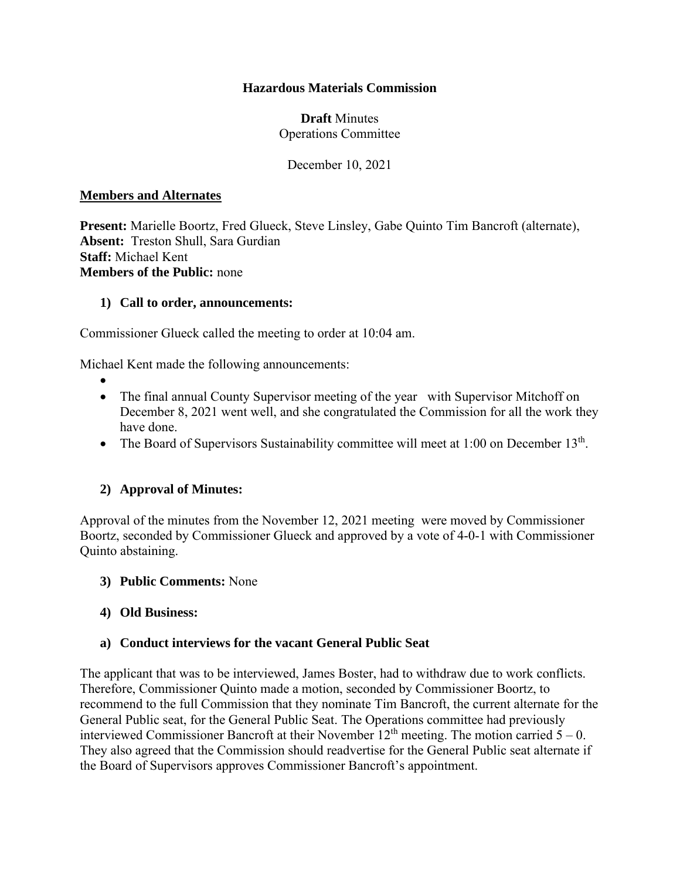## **Hazardous Materials Commission**

## **Draft** Minutes Operations Committee

December 10, 2021

### **Members and Alternates**

**Present:** Marielle Boortz, Fred Glueck, Steve Linsley, Gabe Quinto Tim Bancroft (alternate), **Absent:** Treston Shull, Sara Gurdian **Staff:** Michael Kent **Members of the Public:** none

## **1) Call to order, announcements:**

Commissioner Glueck called the meeting to order at 10:04 am.

Michael Kent made the following announcements:

- •
- The final annual County Supervisor meeting of the year with Supervisor Mitchoff on December 8, 2021 went well, and she congratulated the Commission for all the work they have done.
- The Board of Supervisors Sustainability committee will meet at 1:00 on December  $13<sup>th</sup>$ .

# **2) Approval of Minutes:**

Approval of the minutes from the November 12, 2021 meeting were moved by Commissioner Boortz, seconded by Commissioner Glueck and approved by a vote of 4-0-1 with Commissioner Quinto abstaining.

#### **3) Public Comments:** None

# **4) Old Business:**

# **a) Conduct interviews for the vacant General Public Seat**

The applicant that was to be interviewed, James Boster, had to withdraw due to work conflicts. Therefore, Commissioner Quinto made a motion, seconded by Commissioner Boortz, to recommend to the full Commission that they nominate Tim Bancroft, the current alternate for the General Public seat, for the General Public Seat. The Operations committee had previously interviewed Commissioner Bancroft at their November  $12<sup>th</sup>$  meeting. The motion carried  $5 - 0$ . They also agreed that the Commission should readvertise for the General Public seat alternate if the Board of Supervisors approves Commissioner Bancroft's appointment.